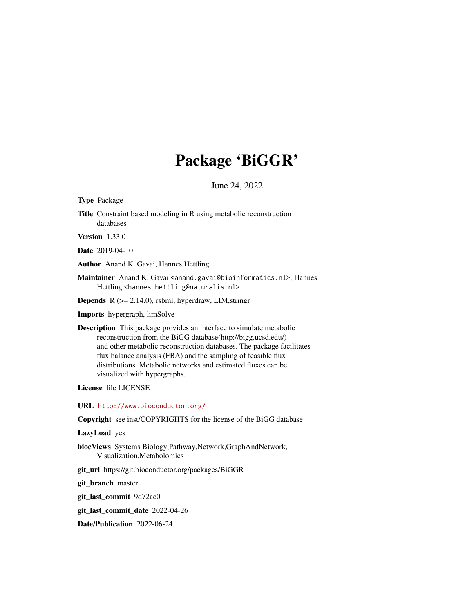# Package 'BiGGR'

June 24, 2022

<span id="page-0-0"></span>Type Package

Title Constraint based modeling in R using metabolic reconstruction databases

Version 1.33.0

Date 2019-04-10

Author Anand K. Gavai, Hannes Hettling

Maintainer Anand K. Gavai <anand.gavai@bioinformatics.nl>, Hannes Hettling <hannes.hettling@naturalis.nl>

**Depends**  $R$  ( $>= 2.14.0$ ), rsbml, hyperdraw, LIM, stringr

Imports hypergraph, limSolve

Description This package provides an interface to simulate metabolic reconstruction from the BiGG database(http://bigg.ucsd.edu/) and other metabolic reconstruction databases. The package facilitates flux balance analysis (FBA) and the sampling of feasible flux distributions. Metabolic networks and estimated fluxes can be visualized with hypergraphs.

License file LICENSE

URL <http://www.bioconductor.org/>

Copyright see inst/COPYRIGHTS for the license of the BiGG database

LazyLoad yes

biocViews Systems Biology,Pathway,Network,GraphAndNetwork, Visualization,Metabolomics

git\_url https://git.bioconductor.org/packages/BiGGR

git\_branch master

git\_last\_commit 9d72ac0

git\_last\_commit\_date 2022-04-26

Date/Publication 2022-06-24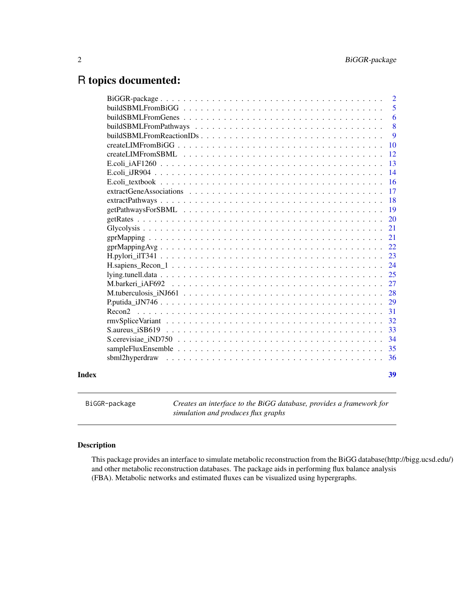# <span id="page-1-0"></span>R topics documented:

|       |                            | $\overline{2}$ |
|-------|----------------------------|----------------|
|       |                            | 5              |
|       |                            | 6              |
|       |                            | 8              |
|       | $buildSBMLFromReactionIDs$ | 9              |
|       |                            | <b>10</b>      |
|       |                            | 12             |
|       |                            | 13             |
|       |                            | 14             |
|       |                            | 16             |
|       |                            | 17             |
|       |                            | 18             |
|       |                            | 19             |
|       |                            | 20             |
|       |                            | 21             |
|       |                            | 21             |
|       |                            | 22             |
|       |                            | 23             |
|       |                            | 24             |
|       |                            | 25             |
|       |                            | 27             |
|       |                            | 28             |
|       |                            | 29             |
|       |                            | 31             |
|       |                            | 32             |
|       |                            | 33             |
|       |                            | 34             |
|       |                            | 35             |
|       |                            | 36             |
| Index |                            | 39             |

BiGGR-package *Creates an interface to the BiGG database, provides a framework for simulation and produces flux graphs*

## Description

This package provides an interface to simulate metabolic reconstruction from the BiGG database(http://bigg.ucsd.edu/) and other metabolic reconstruction databases. The package aids in performing flux balance analysis (FBA). Metabolic networks and estimated fluxes can be visualized using hypergraphs.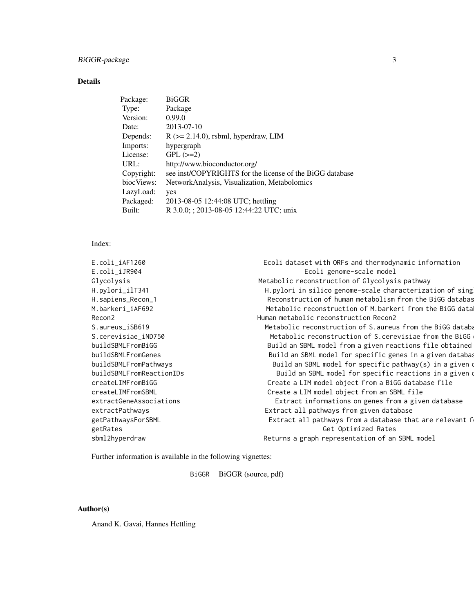## Details

| <b>BiGGR</b>                                             |
|----------------------------------------------------------|
| Package                                                  |
| 0.99.0                                                   |
| 2013-07-10                                               |
| $R$ ( $\geq$ 2.14.0), rsbml, hyperdraw, LIM              |
| hypergraph                                               |
| $GPL (=2)$                                               |
| http://www.bioconductor.org/                             |
| see inst/COPYRIGHTS for the license of the BiGG database |
| NetworkAnalysis, Visualization, Metabolomics             |
| yes                                                      |
| 2013-08-05 12:44:08 UTC; hettling                        |
| R 3.0.0; ; 2013-08-05 12:44:22 UTC; unix                 |
|                                                          |

## Index:

| E.coli_iAF1260           | Ecoli dataset with ORFs and thermodynamic information      |
|--------------------------|------------------------------------------------------------|
| E.coli_iJR904            | Ecoli genome-scale model                                   |
| Glycolysis               | Metabolic reconstruction of Glycolysis pathway             |
| H.pylori_ilT341          | H.pylori in silico genome-scale characterization of sing   |
| H.sapiens_Recon_1        | Reconstruction of human metabolism from the BiGG databas   |
| M.barkeri_iAF692         | Metabolic reconstruction of M.barkeri from the BiGG data   |
| Recon2                   | Human metabolic reconstruction Recon2                      |
| S.aureus_iSB619          | Metabolic reconstruction of S. aureus from the BiGG databa |
| S.cerevisiae_iND750      | Metabolic reconstruction of S. cerevisiae from the BiGG    |
| buildSBMLFromBiGG        | Build an SBML model from a given reactions file obtained   |
| buildSBMLFromGenes       | Build an SBML model for specific genes in a given databas  |
| buildSBMLFromPathways    | Build an SBML model for specific pathway(s) in a given of  |
| buildSBMLFromReactionIDs | Build an SBML model for specific reactions in a given o    |
| createLIMFromBiGG        | Create a LIM model object from a BiGG database file        |
| createLIMFromSBML        | Create a LIM model object from an SBML file                |
| extractGeneAssociations  | Extract informations on genes from a given database        |
| extractPathways          | Extract all pathways from given database                   |
| getPathwaysForSBML       | Extract all pathways from a database that are relevant f   |
| getRates                 | Get Optimized Rates                                        |
| sbml2hyperdraw           | Returns a graph representation of an SBML model            |
|                          |                                                            |

Further information is available in the following vignettes:

BiGGR BiGGR (source, pdf)

## Author(s)

Anand K. Gavai, Hannes Hettling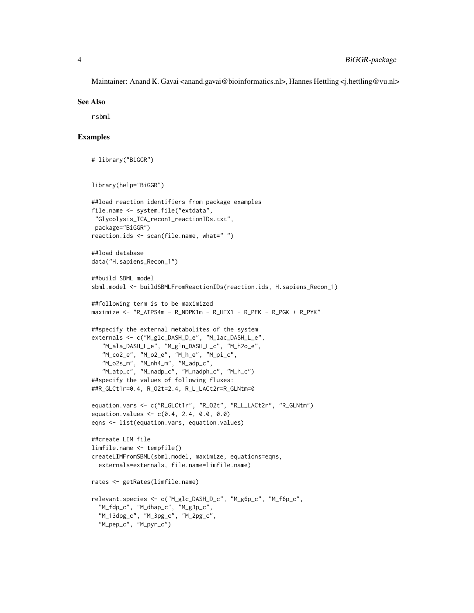Maintainer: Anand K. Gavai <anand.gavai@bioinformatics.nl>, Hannes Hettling <j.hettling@vu.nl>

## See Also

rsbml

## Examples

```
# library("BiGGR")
library(help="BiGGR")
##load reaction identifiers from package examples
file.name <- system.file("extdata",
 "Glycolysis_TCA_recon1_reactionIDs.txt",
 package="BiGGR")
reaction.ids <- scan(file.name, what=" ")
##load database
data("H.sapiens_Recon_1")
##build SBML model
sbml.model <- buildSBMLFromReactionIDs(reaction.ids, H.sapiens_Recon_1)
##following term is to be maximized
maximize <- "R_ATPS4m - R_NDPK1m - R_HEX1 - R_PFK - R_PGK + R_PYK"
##specify the external metabolites of the system
externals <- c("M_glc_DASH_D_e", "M_lac_DASH_L_e",
   "M_ala_DASH_L_e", "M_gln_DASH_L_c", "M_h2o_e",
   "M_co2_e", "M_o2_e", "M_h_e", "M_pi_c",
   "M_o2s_m", "M_nh4_m", "M_adp_c",
   "M_atp_c", "M_nadp_c", "M_nadph_c", "M_h_c")
##specify the values of following fluxes:
##R_GLCt1r=0.4, R_O2t=2.4, R_L_LACt2r=R_GLNtm=0
equation.vars <- c("R_GLCt1r", "R_O2t", "R_L_LACt2r", "R_GLNtm")
equation.values <- c(0.4, 2.4, 0.0, 0.0)
eqns <- list(equation.vars, equation.values)
##create LIM file
limfile.name <- tempfile()
createLIMFromSBML(sbml.model, maximize, equations=eqns,
  externals=externals, file.name=limfile.name)
rates <- getRates(limfile.name)
relevant.species <- c("M_glc_DASH_D_c", "M_g6p_c", "M_f6p_c",
  "M_fdp_c", "M_dhap_c", "M_g3p_c",
  "M_13dpg_c", "M_3pg_c", "M_2pg_c",
  "M_pep_c", "M_pyr_c")
```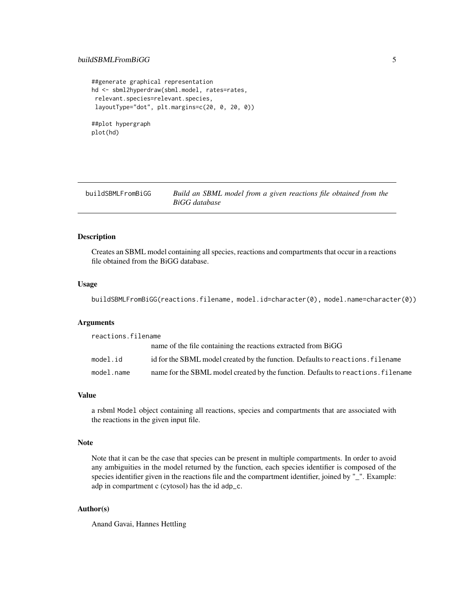## <span id="page-4-0"></span>buildSBMLFromBiGG 5

```
##generate graphical representation
hd <- sbml2hyperdraw(sbml.model, rates=rates,
relevant.species=relevant.species,
layoutType="dot", plt.margins=c(20, 0, 20, 0))
##plot hypergraph
plot(hd)
```
buildSBMLFromBiGG *Build an SBML model from a given reactions file obtained from the BiGG database*

## Description

Creates an SBML model containing all species, reactions and compartments that occur in a reactions file obtained from the BiGG database.

## Usage

buildSBMLFromBiGG(reactions.filename, model.id=character(0), model.name=character(0))

#### Arguments

| reactions.filename |                                                                                  |  |
|--------------------|----------------------------------------------------------------------------------|--|
|                    | name of the file containing the reactions extracted from BiGG                    |  |
| model.id           | id for the SBML model created by the function. Defaults to reactions. filename   |  |
| model.name         | name for the SBML model created by the function. Defaults to reactions, filename |  |

## Value

a rsbml Model object containing all reactions, species and compartments that are associated with the reactions in the given input file.

## Note

Note that it can be the case that species can be present in multiple compartments. In order to avoid any ambiguities in the model returned by the function, each species identifier is composed of the species identifier given in the reactions file and the compartment identifier, joined by "\_". Example: adp in compartment c (cytosol) has the id adp\_c.

## Author(s)

Anand Gavai, Hannes Hettling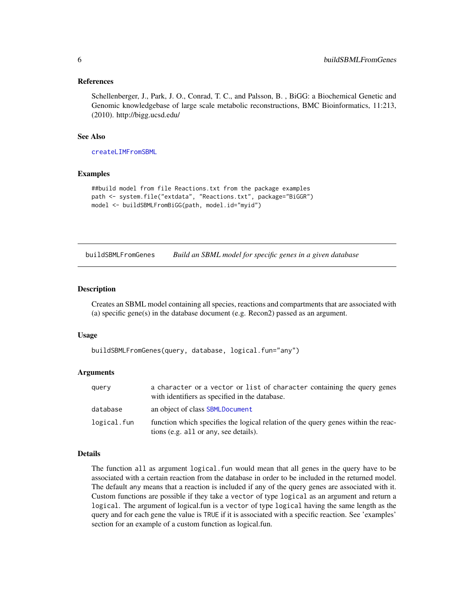## <span id="page-5-0"></span>References

Schellenberger, J., Park, J. O., Conrad, T. C., and Palsson, B. , BiGG: a Biochemical Genetic and Genomic knowledgebase of large scale metabolic reconstructions, BMC Bioinformatics, 11:213, (2010). http://bigg.ucsd.edu/

## See Also

[createLIMFromSBML](#page-11-1)

## Examples

```
##build model from file Reactions.txt from the package examples
path <- system.file("extdata", "Reactions.txt", package="BiGGR")
model <- buildSBMLFromBiGG(path, model.id="myid")
```
<span id="page-5-1"></span>buildSBMLFromGenes *Build an SBML model for specific genes in a given database*

## Description

Creates an SBML model containing all species, reactions and compartments that are associated with (a) specific gene(s) in the database document (e.g. Recon2) passed as an argument.

#### Usage

buildSBMLFromGenes(query, database, logical.fun="any")

## Arguments

| query       | a character or a vector or list of character containing the query genes<br>with identifiers as specified in the database.  |
|-------------|----------------------------------------------------------------------------------------------------------------------------|
| database    | an object of class <b>SBMLDocument</b>                                                                                     |
| logical.fun | function which specifies the logical relation of the query genes within the reac-<br>tions (e.g. all or any, see details). |

## Details

The function all as argument logical. fun would mean that all genes in the query have to be associated with a certain reaction from the database in order to be included in the returned model. The default any means that a reaction is included if any of the query genes are associated with it. Custom functions are possible if they take a vector of type logical as an argument and return a logical. The argument of logical.fun is a vector of type logical having the same length as the query and for each gene the value is TRUE if it is associated with a specific reaction. See 'examples' section for an example of a custom function as logical.fun.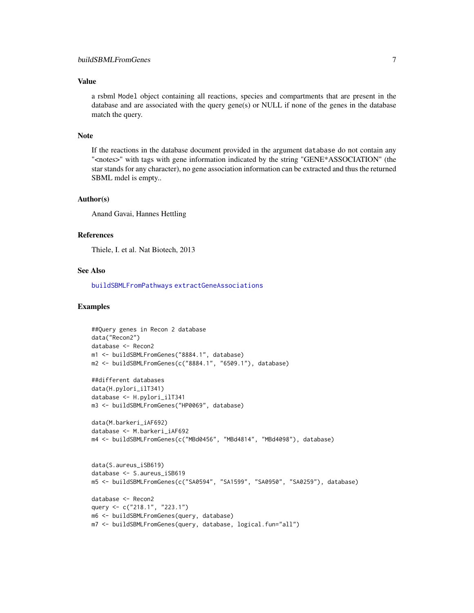## <span id="page-6-0"></span>Value

a rsbml Model object containing all reactions, species and compartments that are present in the database and are associated with the query gene(s) or NULL if none of the genes in the database match the query.

## Note

If the reactions in the database document provided in the argument database do not contain any "<notes>" with tags with gene information indicated by the string "GENE\*ASSOCIATION" (the star stands for any character), no gene association information can be extracted and thus the returned SBML mdel is empty..

#### Author(s)

Anand Gavai, Hannes Hettling

## References

Thiele, I. et al. Nat Biotech, 2013

## See Also

[buildSBMLFromPathways](#page-7-1) [extractGeneAssociations](#page-16-1)

## Examples

```
##Query genes in Recon 2 database
data("Recon2")
database <- Recon2
m1 <- buildSBMLFromGenes("8884.1", database)
m2 <- buildSBMLFromGenes(c("8884.1", "6509.1"), database)
##different databases
data(H.pylori_ilT341)
database <- H.pylori_ilT341
m3 <- buildSBMLFromGenes("HP0069", database)
data(M.barkeri_iAF692)
database <- M.barkeri_iAF692
m4 <- buildSBMLFromGenes(c("MBd0456", "MBd4814", "MBd4098"), database)
data(S.aureus_iSB619)
database <- S.aureus_iSB619
m5 <- buildSBMLFromGenes(c("SA0594", "SA1599", "SA0950", "SA0259"), database)
database <- Recon2
```

```
query <- c("218.1", "223.1")
m6 <- buildSBMLFromGenes(query, database)
```

```
m7 <- buildSBMLFromGenes(query, database, logical.fun="all")
```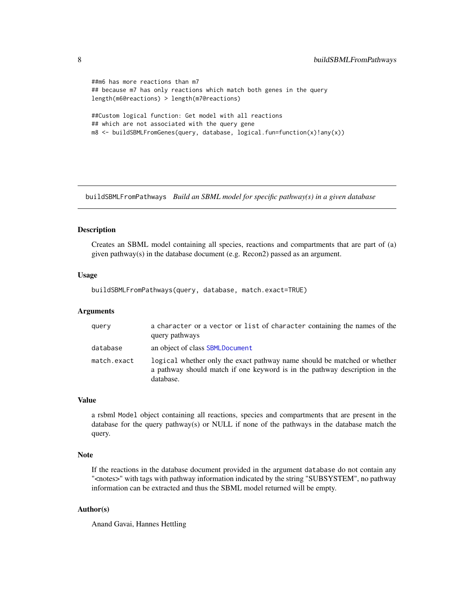```
##m6 has more reactions than m7
## because m7 has only reactions which match both genes in the query
length(m6@reactions) > length(m7@reactions)
##Custom logical function: Get model with all reactions
## which are not associated with the query gene
m8 <- buildSBMLFromGenes(query, database, logical.fun=function(x)!any(x))
```
<span id="page-7-1"></span>buildSBMLFromPathways *Build an SBML model for specific pathway(s) in a given database*

## Description

Creates an SBML model containing all species, reactions and compartments that are part of (a) given pathway(s) in the database document (e.g. Recon2) passed as an argument.

#### Usage

buildSBMLFromPathways(query, database, match.exact=TRUE)

## Arguments

| query       | a character or a vector or list of character containing the names of the<br>query pathways                                                                          |
|-------------|---------------------------------------------------------------------------------------------------------------------------------------------------------------------|
| database    | an object of class SBMLDocument                                                                                                                                     |
| match.exact | logical whether only the exact pathway name should be matched or whether<br>a pathway should match if one keyword is in the pathway description in the<br>database. |

## Value

a rsbml Model object containing all reactions, species and compartments that are present in the database for the query pathway(s) or NULL if none of the pathways in the database match the query.

## Note

If the reactions in the database document provided in the argument database do not contain any "<notes>" with tags with pathway information indicated by the string "SUBSYSTEM", no pathway information can be extracted and thus the SBML model returned will be empty.

## Author(s)

Anand Gavai, Hannes Hettling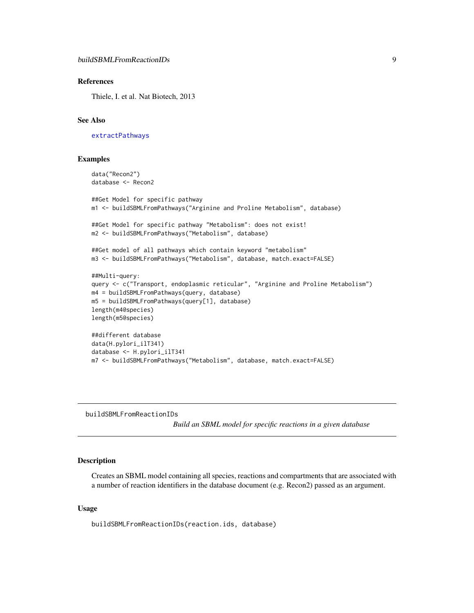## <span id="page-8-0"></span>References

Thiele, I. et al. Nat Biotech, 2013

## See Also

[extractPathways](#page-17-1)

## Examples

```
data("Recon2")
database <- Recon2
##Get Model for specific pathway
m1 <- buildSBMLFromPathways("Arginine and Proline Metabolism", database)
##Get Model for specific pathway "Metabolism": does not exist!
m2 <- buildSBMLFromPathways("Metabolism", database)
##Get model of all pathways which contain keyword "metabolism"
m3 <- buildSBMLFromPathways("Metabolism", database, match.exact=FALSE)
##Multi-query:
query <- c("Transport, endoplasmic reticular", "Arginine and Proline Metabolism")
m4 = buildSBMLFromPathways(query, database)
m5 = buildSBMLFromPathways(query[1], database)
length(m4@species)
length(m5@species)
##different database
data(H.pylori_ilT341)
database <- H.pylori_ilT341
m7 <- buildSBMLFromPathways("Metabolism", database, match.exact=FALSE)
```
buildSBMLFromReactionIDs

*Build an SBML model for specific reactions in a given database*

## Description

Creates an SBML model containing all species, reactions and compartments that are associated with a number of reaction identifiers in the database document (e.g. Recon2) passed as an argument.

#### Usage

buildSBMLFromReactionIDs(reaction.ids, database)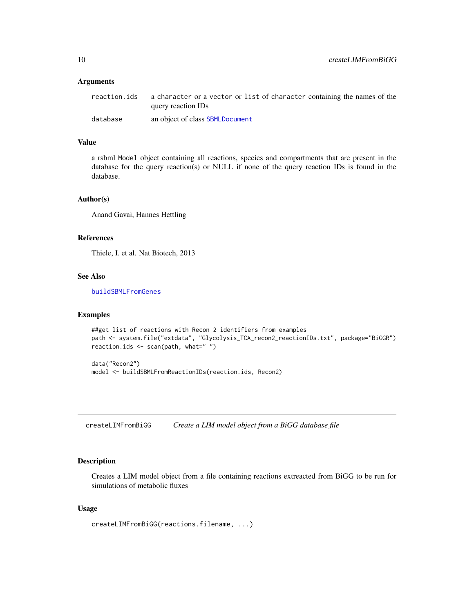#### <span id="page-9-0"></span>**Arguments**

| reaction.ids | a character or a vector or list of character containing the names of the<br>query reaction IDs |
|--------------|------------------------------------------------------------------------------------------------|
| database     | an object of class SBMLDocument                                                                |

## Value

a rsbml Model object containing all reactions, species and compartments that are present in the database for the query reaction(s) or NULL if none of the query reaction IDs is found in the database.

## Author(s)

Anand Gavai, Hannes Hettling

## References

Thiele, I. et al. Nat Biotech, 2013

## See Also

[buildSBMLFromGenes](#page-5-1)

## Examples

```
##get list of reactions with Recon 2 identifiers from examples
path <- system.file("extdata", "Glycolysis_TCA_recon2_reactionIDs.txt", package="BiGGR")
reaction.ids <- scan(path, what=" ")
```
data("Recon2") model <- buildSBMLFromReactionIDs(reaction.ids, Recon2)

createLIMFromBiGG *Create a LIM model object from a BiGG database file*

## Description

Creates a LIM model object from a file containing reactions extreacted from BiGG to be run for simulations of metabolic fluxes

## Usage

```
createLIMFromBiGG(reactions.filename, ...)
```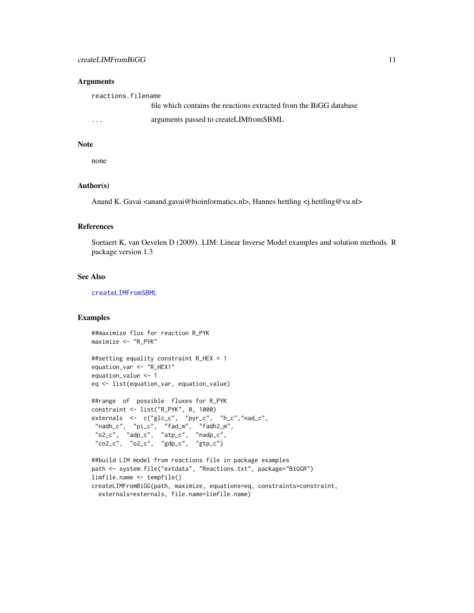#### <span id="page-10-0"></span>**Arguments**

reactions.filename

|   | file which contains the reactions extracted from the BiGG database |
|---|--------------------------------------------------------------------|
| . | arguments passed to createLIMfromSBML                              |

## Note

none

## Author(s)

Anand K. Gavai <anand.gavai@bioinformatics.nl>, Hannes hettling <i.hettling@vu.nl>

#### References

Soetaert K, van Oevelen D (2009). LIM: Linear Inverse Model examples and solution methods. R package version 1.3

## See Also

[createLIMFromSBML](#page-11-1)

## Examples

```
##maximize flux for reaction R_PYK
maximize <- "R_PYK"
##setting equality constraint R_HEX = 1
equation_var <- "R_HEX1"
equation_value <- 1
eq <- list(equation_var, equation_value)
##range of possible fluxes for R_PYK
constraint <- list("R_PYK", 0, 1000)
externals <- c("glc_c", "pyr_c", "h_c","nad_c",
 "nadh_c", "pi_c", "fad_m", "fadh2_m",
 "o2_c", "adp_c", "atp_c", "nadp_c",
 "co2_c", "o2_c", "gdp_c", "gtp_c")
##build LIM model from reactions file in package examples
path <- system.file("extdata", "Reactions.txt", package="BiGGR")
limfile.name <- tempfile()
createLIMFromBiGG(path, maximize, equations=eq, constraints=constraint,
 externals=externals, file.name=limfile.name)
```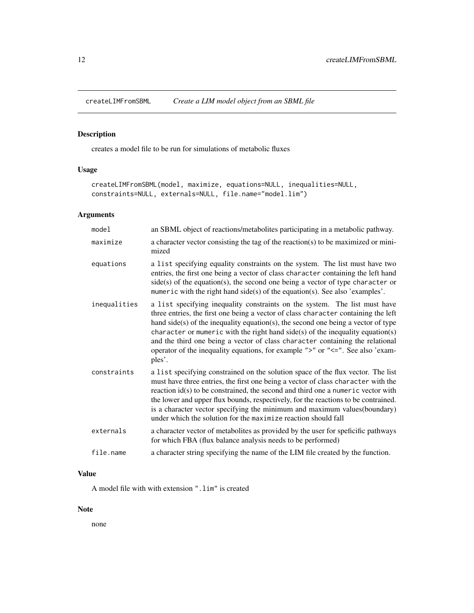<span id="page-11-1"></span><span id="page-11-0"></span>

## Description

creates a model file to be run for simulations of metabolic fluxes

## Usage

```
createLIMFromSBML(model, maximize, equations=NULL, inequalities=NULL,
constraints=NULL, externals=NULL, file.name="model.lim")
```
## Arguments

| model        | an SBML object of reactions/metabolites participating in a metabolic pathway.                                                                                                                                                                                                                                                                                                                                                                                                                                          |
|--------------|------------------------------------------------------------------------------------------------------------------------------------------------------------------------------------------------------------------------------------------------------------------------------------------------------------------------------------------------------------------------------------------------------------------------------------------------------------------------------------------------------------------------|
| maximize     | a character vector consisting the tag of the reaction(s) to be maximized or mini-<br>mized                                                                                                                                                                                                                                                                                                                                                                                                                             |
| equations    | a list specifying equality constraints on the system. The list must have two<br>entries, the first one being a vector of class character containing the left hand<br>$side(s)$ of the equation(s), the second one being a vector of type character or<br>mumeric with the right hand side(s) of the equation(s). See also 'examples'.                                                                                                                                                                                  |
| inequalities | a list specifying inequality constraints on the system. The list must have<br>three entries, the first one being a vector of class character containing the left<br>hand side(s) of the inequality equation(s), the second one being a vector of type<br>character or mumeric with the right hand $side(s)$ of the inequality equation(s)<br>and the third one being a vector of class character containing the relational<br>operator of the inequality equations, for example ">" or "<=". See also 'exam-<br>ples'. |
| constraints  | a list specifying constrained on the solution space of the flux vector. The list<br>must have three entries, the first one being a vector of class character with the<br>reaction $id(s)$ to be constrained, the second and third one a numeric vector with<br>the lower and upper flux bounds, respectively, for the reactions to be contrained.<br>is a character vector specifying the minimum and maximum values (boundary)<br>under which the solution for the maximize reaction should fall                      |
| externals    | a character vector of metabolites as provided by the user for speficific pathways<br>for which FBA (flux balance analysis needs to be performed)                                                                                                                                                                                                                                                                                                                                                                       |
| file.name    | a character string specifying the name of the LIM file created by the function.                                                                                                                                                                                                                                                                                                                                                                                                                                        |

## Value

A model file with with extension ".lim" is created

## Note

none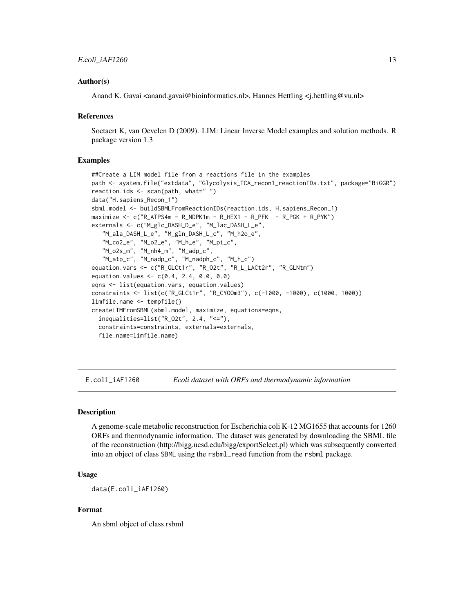#### <span id="page-12-0"></span>Author(s)

Anand K. Gavai <anand.gavai@bioinformatics.nl>, Hannes Hettling <i.hettling@vu.nl>

#### References

Soetaert K, van Oevelen D (2009). LIM: Linear Inverse Model examples and solution methods. R package version 1.3

#### Examples

```
##Create a LIM model file from a reactions file in the examples
path <- system.file("extdata", "Glycolysis_TCA_recon1_reactionIDs.txt", package="BiGGR")
reaction.ids <- scan(path, what=" ")
data("H.sapiens_Recon_1")
sbml.model <- buildSBMLFromReactionIDs(reaction.ids, H.sapiens_Recon_1)
maximize < -c("R_ATPS4m - R_NDPK1m - R_HEX1 - R_PFK - R_PGK + R_PYK")externals <- c("M_glc_DASH_D_e", "M_lac_DASH_L_e",
   "M_ala_DASH_L_e", "M_gln_DASH_L_c", "M_h2o_e",
   "M_co2_e", "M_o2_e", "M_h_e", "M_pi_c",
   "M_o2s_m", "M_nh4_m", "M_adp_c",
   "M_atp_c", "M_nadp_c", "M_nadph_c", "M_h_c")
equation.vars <- c("R_GLCt1r", "R_O2t", "R_L_LACt2r", "R_GLNtm")
equation.values <- c(0.4, 2.4, 0.0, 0.0)
eqns <- list(equation.vars, equation.values)
constraints <- list(c("R_GLCt1r", "R_CYOOm3"), c(-1000, -1000), c(1000, 1000))
limfile.name <- tempfile()
createLIMFromSBML(sbml.model, maximize, equations=eqns,
 inequalities=list("R_O2t", 2.4, "<="),
 constraints=constraints, externals=externals,
 file.name=limfile.name)
```
E.coli\_iAF1260 *Ecoli dataset with ORFs and thermodynamic information*

## **Description**

A genome-scale metabolic reconstruction for Escherichia coli K-12 MG1655 that accounts for 1260 ORFs and thermodynamic information. The dataset was generated by downloading the SBML file of the reconstruction (http://bigg.ucsd.edu/bigg/exportSelect.pl) which was subsequently converted into an object of class SBML using the rsbml\_read function from the rsbml package.

## Usage

data(E.coli\_iAF1260)

#### Format

An sbml object of class rsbml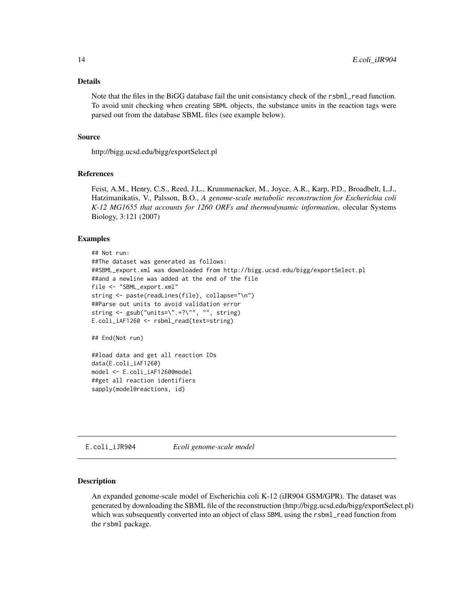#### <span id="page-13-0"></span>Details

Note that the files in the BiGG database fail the unit consistancy check of the rsbml\_read function. To avoid unit checking when creating SBML objects, the substance units in the reaction tags were parsed out from the database SBML files (see example below).

#### Source

http://bigg.ucsd.edu/bigg/exportSelect.pl

## References

Feist, A.M., Henry, C.S., Reed, J.L., Krummenacker, M., Joyce, A.R., Karp, P.D., Broadbelt, L.J., Hatzimanikatis, V., Palsson, B.O., *A genome-scale metabolic reconstruction for Escherichia coli K-12 MG1655 that accounts for 1260 ORFs and thermodynamic information*, olecular Systems Biology, 3:121 (2007)

#### Examples

```
## Not run:
##The dataset was generated as follows:
##SBML_export.xml was downloaded from http://bigg.ucsd.edu/bigg/exportSelect.pl
##and a newline was added at the end of the file
file <- "SBML_export.xml"
string <- paste(readLines(file), collapse="\n")
##Parse out units to avoid validation error
string <- gsub("units=\".+?\"", "", string)
E.coli_iAF1260 <- rsbml_read(text=string)
## End(Not run)
```
##load data and get all reaction IDs data(E.coli\_iAF1260) model <- E.coli\_iAF1260@model ##get all reaction identifiers sapply(model@reactions, id)

E.coli\_iJR904 *Ecoli genome-scale model*

## Description

An expanded genome-scale model of Escherichia coli K-12 (iJR904 GSM/GPR). The dataset was generated by downloading the SBML file of the reconstruction (http://bigg.ucsd.edu/bigg/exportSelect.pl) which was subsequently converted into an object of class SBML using the rsbml\_read function from the rsbml package.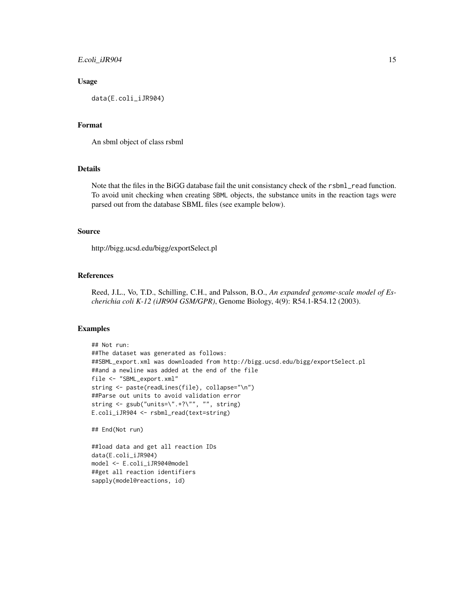## E.coli\_iJR904 15

## Usage

data(E.coli\_iJR904)

## Format

An sbml object of class rsbml

## Details

Note that the files in the BiGG database fail the unit consistancy check of the rsbml\_read function. To avoid unit checking when creating SBML objects, the substance units in the reaction tags were parsed out from the database SBML files (see example below).

## Source

http://bigg.ucsd.edu/bigg/exportSelect.pl

## References

Reed, J.L., Vo, T.D., Schilling, C.H., and Palsson, B.O., *An expanded genome-scale model of Escherichia coli K-12 (iJR904 GSM/GPR)*, Genome Biology, 4(9): R54.1-R54.12 (2003).

#### Examples

```
## Not run:
##The dataset was generated as follows:
##SBML_export.xml was downloaded from http://bigg.ucsd.edu/bigg/exportSelect.pl
##and a newline was added at the end of the file
file <- "SBML_export.xml"
string <- paste(readLines(file), collapse="\n")
##Parse out units to avoid validation error
string <- gsub("units=\".+?\"", "", string)
E.coli_iJR904 <- rsbml_read(text=string)
```
## End(Not run)

##load data and get all reaction IDs data(E.coli\_iJR904) model <- E.coli\_iJR904@model ##get all reaction identifiers sapply(model@reactions, id)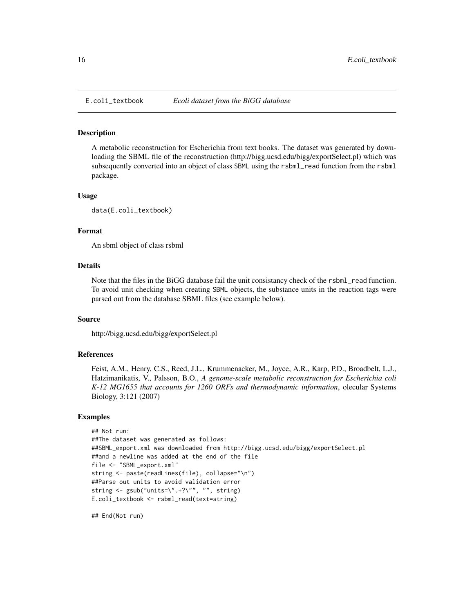<span id="page-15-0"></span>

### Description

A metabolic reconstruction for Escherichia from text books. The dataset was generated by downloading the SBML file of the reconstruction (http://bigg.ucsd.edu/bigg/exportSelect.pl) which was subsequently converted into an object of class SBML using the rsbml\_read function from the rsbml package.

#### Usage

data(E.coli\_textbook)

#### Format

An sbml object of class rsbml

## Details

Note that the files in the BiGG database fail the unit consistancy check of the rsbml\_read function. To avoid unit checking when creating SBML objects, the substance units in the reaction tags were parsed out from the database SBML files (see example below).

## Source

http://bigg.ucsd.edu/bigg/exportSelect.pl

#### References

Feist, A.M., Henry, C.S., Reed, J.L., Krummenacker, M., Joyce, A.R., Karp, P.D., Broadbelt, L.J., Hatzimanikatis, V., Palsson, B.O., *A genome-scale metabolic reconstruction for Escherichia coli K-12 MG1655 that accounts for 1260 ORFs and thermodynamic information*, olecular Systems Biology, 3:121 (2007)

## Examples

```
## Not run:
##The dataset was generated as follows:
##SBML_export.xml was downloaded from http://bigg.ucsd.edu/bigg/exportSelect.pl
##and a newline was added at the end of the file
file <- "SBML_export.xml"
string <- paste(readLines(file), collapse="\n")
##Parse out units to avoid validation error
string <- gsub("units=\".+?\"", "", string)
E.coli_textbook <- rsbml_read(text=string)
```
## End(Not run)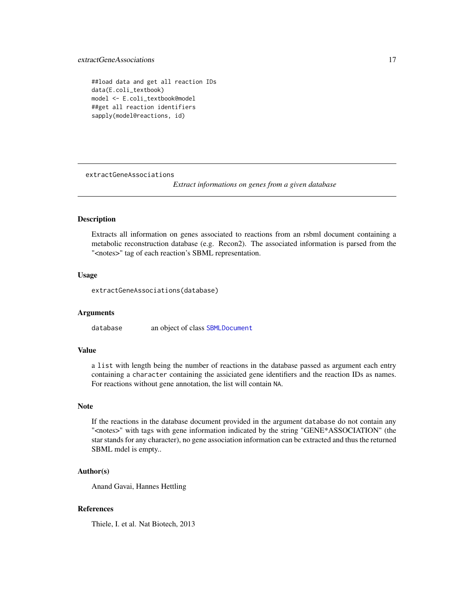```
##load data and get all reaction IDs
data(E.coli_textbook)
model <- E.coli_textbook@model
##get all reaction identifiers
sapply(model@reactions, id)
```
<span id="page-16-1"></span>extractGeneAssociations

*Extract informations on genes from a given database*

## Description

Extracts all information on genes associated to reactions from an rsbml document containing a metabolic reconstruction database (e.g. Recon2). The associated information is parsed from the "<notes>" tag of each reaction's SBML representation.

## Usage

extractGeneAssociations(database)

#### Arguments

database an object of class [SBMLDocument](#page-0-0)

## Value

a list with length being the number of reactions in the database passed as argument each entry containing a character containing the assiciated gene identifiers and the reaction IDs as names. For reactions without gene annotation, the list will contain NA.

#### Note

If the reactions in the database document provided in the argument database do not contain any "<notes>" with tags with gene information indicated by the string "GENE\*ASSOCIATION" (the star stands for any character), no gene association information can be extracted and thus the returned SBML mdel is empty..

## Author(s)

Anand Gavai, Hannes Hettling

## References

Thiele, I. et al. Nat Biotech, 2013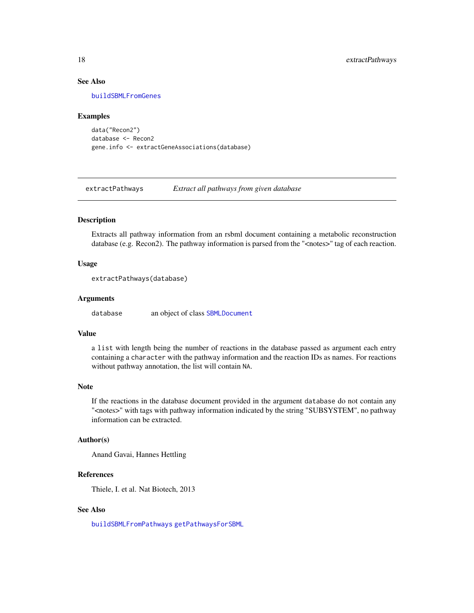## <span id="page-17-0"></span>See Also

[buildSBMLFromGenes](#page-5-1)

#### Examples

```
data("Recon2")
database <- Recon2
gene.info <- extractGeneAssociations(database)
```
<span id="page-17-1"></span>extractPathways *Extract all pathways from given database*

## Description

Extracts all pathway information from an rsbml document containing a metabolic reconstruction database (e.g. Recon2). The pathway information is parsed from the "<notes>" tag of each reaction.

## Usage

```
extractPathways(database)
```
## Arguments

database an object of class [SBMLDocument](#page-0-0)

## Value

a list with length being the number of reactions in the database passed as argument each entry containing a character with the pathway information and the reaction IDs as names. For reactions without pathway annotation, the list will contain NA.

## Note

If the reactions in the database document provided in the argument database do not contain any "<notes>" with tags with pathway information indicated by the string "SUBSYSTEM", no pathway information can be extracted.

## Author(s)

Anand Gavai, Hannes Hettling

## References

Thiele, I. et al. Nat Biotech, 2013

## See Also

[buildSBMLFromPathways](#page-7-1) [getPathwaysForSBML](#page-18-1)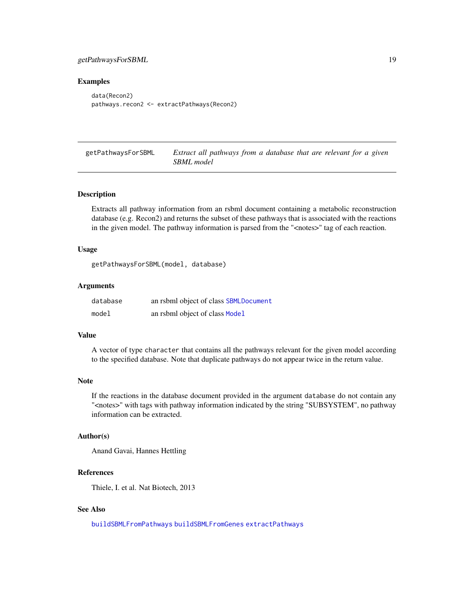## <span id="page-18-0"></span>getPathwaysForSBML 19

## Examples

```
data(Recon2)
pathways.recon2 <- extractPathways(Recon2)
```
<span id="page-18-1"></span>getPathwaysForSBML *Extract all pathways from a database that are relevant for a given SBML model*

## Description

Extracts all pathway information from an rsbml document containing a metabolic reconstruction database (e.g. Recon2) and returns the subset of these pathways that is associated with the reactions in the given model. The pathway information is parsed from the "<notes>" tag of each reaction.

#### Usage

getPathwaysForSBML(model, database)

#### Arguments

| database | an rsbml object of class SBMLDocument |
|----------|---------------------------------------|
| model    | an rsbml object of class Model        |

#### Value

A vector of type character that contains all the pathways relevant for the given model according to the specified database. Note that duplicate pathways do not appear twice in the return value.

## Note

If the reactions in the database document provided in the argument database do not contain any "<notes>" with tags with pathway information indicated by the string "SUBSYSTEM", no pathway information can be extracted.

#### Author(s)

Anand Gavai, Hannes Hettling

## References

Thiele, I. et al. Nat Biotech, 2013

## See Also

[buildSBMLFromPathways](#page-7-1) [buildSBMLFromGenes](#page-5-1) [extractPathways](#page-17-1)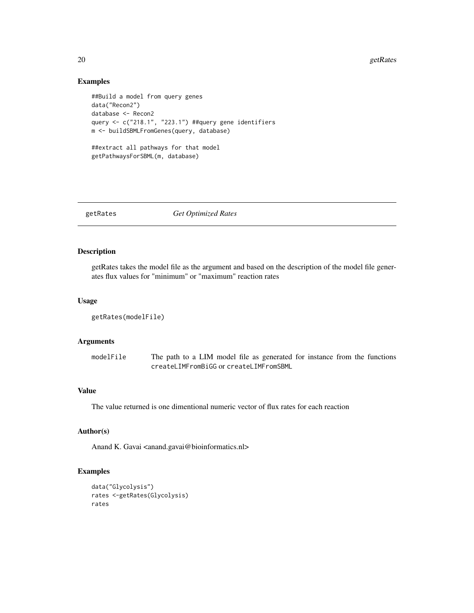#### 20 getRates

## Examples

```
##Build a model from query genes
data("Recon2")
database <- Recon2
query <- c("218.1", "223.1") ##query gene identifiers
m <- buildSBMLFromGenes(query, database)
##extract all pathways for that model
getPathwaysForSBML(m, database)
```
getRates *Get Optimized Rates*

## Description

getRates takes the model file as the argument and based on the description of the model file generates flux values for "minimum" or "maximum" reaction rates

## Usage

```
getRates(modelFile)
```
## Arguments

modelFile The path to a LIM model file as generated for instance from the functions createLIMFromBiGG or createLIMFromSBML

## Value

The value returned is one dimentional numeric vector of flux rates for each reaction

## Author(s)

Anand K. Gavai <anand.gavai@bioinformatics.nl>

## Examples

```
data("Glycolysis")
rates <-getRates(Glycolysis)
rates
```
<span id="page-19-0"></span>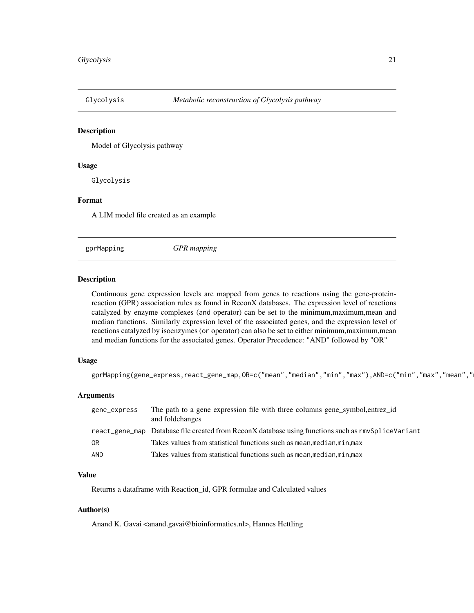<span id="page-20-0"></span>

## Description

Model of Glycolysis pathway

## Usage

Glycolysis

## Format

A LIM model file created as an example

gprMapping *GPR mapping*

## Description

Continuous gene expression levels are mapped from genes to reactions using the gene-proteinreaction (GPR) association rules as found in ReconX databases. The expression level of reactions catalyzed by enzyme complexes (and operator) can be set to the minimum,maximum,mean and median functions. Similarly expression level of the associated genes, and the expression level of reactions catalyzed by isoenzymes (or operator) can also be set to either minimum,maximum,mean and median functions for the associated genes. Operator Precedence: "AND" followed by "OR"

## Usage

gprMapping(gene\_express,react\_gene\_map,OR=c("mean","median","min","max"),AND=c("min","max","mean","

## Arguments

| gene_express | The path to a gene expression file with three columns gene symbol, entrez id<br>and foldchanges    |
|--------------|----------------------------------------------------------------------------------------------------|
|              | react_gene_map Database file created from ReconX database using functions such as rmvSpliceVariant |
| 0R           | Takes values from statistical functions such as mean, median, min, max                             |
| AND          | Takes values from statistical functions such as mean, median, min, max                             |

## Value

Returns a dataframe with Reaction\_id, GPR formulae and Calculated values

## Author(s)

Anand K. Gavai <anand.gavai@bioinformatics.nl>, Hannes Hettling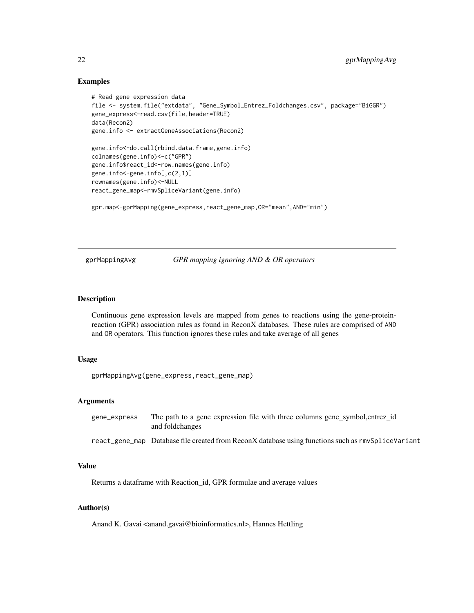## <span id="page-21-0"></span>Examples

```
# Read gene expression data
file <- system.file("extdata", "Gene_Symbol_Entrez_Foldchanges.csv", package="BiGGR")
gene_express<-read.csv(file,header=TRUE)
data(Recon2)
gene.info <- extractGeneAssociations(Recon2)
gene.info<-do.call(rbind.data.frame,gene.info)
colnames(gene.info)<-c("GPR")
gene.info$react_id<-row.names(gene.info)
gene.info<-gene.info[,c(2,1)]
rownames(gene.info)<-NULL
react_gene_map<-rmvSpliceVariant(gene.info)
gpr.map<-gprMapping(gene_express,react_gene_map,OR="mean",AND="min")
```
## gprMappingAvg *GPR mapping ignoring AND & OR operators*

## Description

Continuous gene expression levels are mapped from genes to reactions using the gene-proteinreaction (GPR) association rules as found in ReconX databases. These rules are comprised of AND and OR operators. This function ignores these rules and take average of all genes

#### Usage

gprMappingAvg(gene\_express,react\_gene\_map)

## Arguments

|                 | The path to a gene expression file with three columns gene_symbol, entrez_id |
|-----------------|------------------------------------------------------------------------------|
| and foldchanges |                                                                              |

## react\_gene\_map Database file created from ReconX database using functions such as rmvSpliceVariant

#### Value

Returns a dataframe with Reaction\_id, GPR formulae and average values

## Author(s)

Anand K. Gavai <anand.gavai@bioinformatics.nl>, Hannes Hettling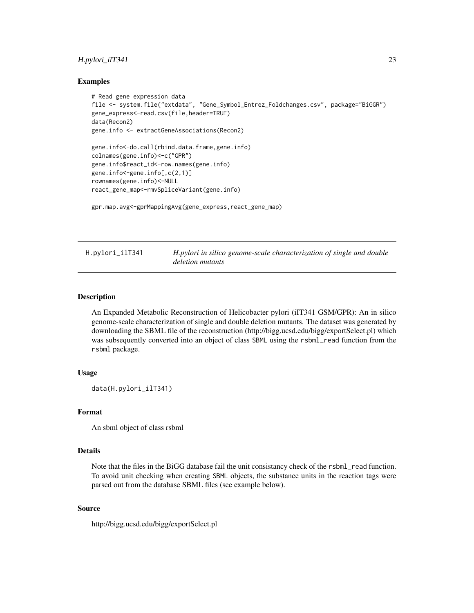## <span id="page-22-0"></span>H.pylori\_ilT341 23

## Examples

```
# Read gene expression data
file <- system.file("extdata", "Gene_Symbol_Entrez_Foldchanges.csv", package="BiGGR")
gene_express<-read.csv(file,header=TRUE)
data(Recon2)
gene.info <- extractGeneAssociations(Recon2)
gene.info<-do.call(rbind.data.frame,gene.info)
colnames(gene.info)<-c("GPR")
gene.info$react_id<-row.names(gene.info)
gene.info<-gene.info[,c(2,1)]
rownames(gene.info)<-NULL
react_gene_map<-rmvSpliceVariant(gene.info)
```
gpr.map.avg<-gprMappingAvg(gene\_express,react\_gene\_map)

H.pylori\_ilT341 *H.pylori in silico genome-scale characterization of single and double deletion mutants*

## **Description**

An Expanded Metabolic Reconstruction of Helicobacter pylori (iIT341 GSM/GPR): An in silico genome-scale characterization of single and double deletion mutants. The dataset was generated by downloading the SBML file of the reconstruction (http://bigg.ucsd.edu/bigg/exportSelect.pl) which was subsequently converted into an object of class SBML using the rsbml\_read function from the rsbml package.

## Usage

data(H.pylori\_ilT341)

#### Format

An sbml object of class rsbml

## Details

Note that the files in the BiGG database fail the unit consistancy check of the rsbml\_read function. To avoid unit checking when creating SBML objects, the substance units in the reaction tags were parsed out from the database SBML files (see example below).

#### Source

http://bigg.ucsd.edu/bigg/exportSelect.pl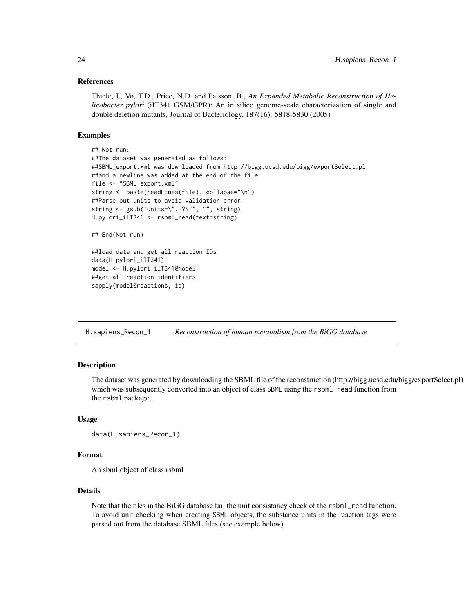## <span id="page-23-0"></span>References

Thiele, I., Vo, T.D., Price, N.D. and Palsson, B., *An Expanded Metabolic Reconstruction of Helicobacter pylori* (iIT341 GSM/GPR): An in silico genome-scale characterization of single and double deletion mutants, Journal of Bacteriology, 187(16): 5818-5830 (2005)

## Examples

```
## Not run:
##The dataset was generated as follows:
##SBML_export.xml was downloaded from http://bigg.ucsd.edu/bigg/exportSelect.pl
##and a newline was added at the end of the file
file <- "SBML_export.xml"
string <- paste(readLines(file), collapse="\n")
##Parse out units to avoid validation error
string <- gsub("units=\".+?\"", "", string)
H.pylori_ilT341 <- rsbml_read(text=string)
## End(Not run)
##load data and get all reaction IDs
data(H.pylori_ilT341)
model <- H.pylori_ilT341@model
```
##get all reaction identifiers sapply(model@reactions, id)

H.sapiens\_Recon\_1 *Reconstruction of human metabolism from the BiGG database*

## Description

The dataset was generated by downloading the SBML file of the reconstruction (http://bigg.ucsd.edu/bigg/exportSelect.pl) which was subsequently converted into an object of class SBML using the rsbml\_read function from the rsbml package.

## Usage

```
data(H.sapiens_Recon_1)
```
#### Format

An sbml object of class rsbml

## Details

Note that the files in the BiGG database fail the unit consistancy check of the rsbml\_read function. To avoid unit checking when creating SBML objects, the substance units in the reaction tags were parsed out from the database SBML files (see example below).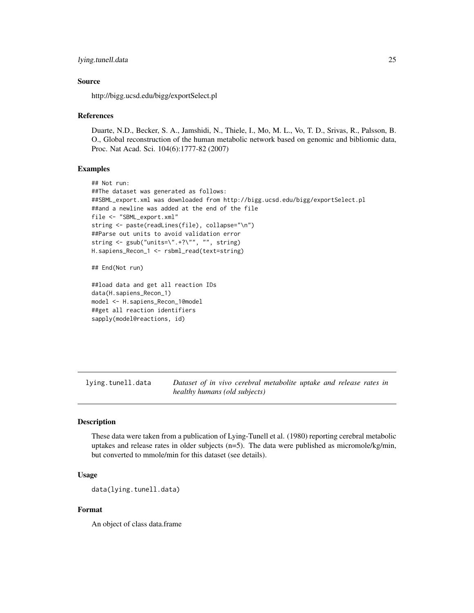#### <span id="page-24-0"></span>lying.tunell.data 25

## Source

http://bigg.ucsd.edu/bigg/exportSelect.pl

#### References

Duarte, N.D., Becker, S. A., Jamshidi, N., Thiele, I., Mo, M. L., Vo, T. D., Srivas, R., Palsson, B. O., Global reconstruction of the human metabolic network based on genomic and bibliomic data, Proc. Nat Acad. Sci. 104(6):1777-82 (2007)

## Examples

```
## Not run:
##The dataset was generated as follows:
##SBML_export.xml was downloaded from http://bigg.ucsd.edu/bigg/exportSelect.pl
##and a newline was added at the end of the file
file <- "SBML_export.xml"
string <- paste(readLines(file), collapse="\n")
##Parse out units to avoid validation error
string <- gsub("units=\".+?\"", "", string)
H.sapiens_Recon_1 <- rsbml_read(text=string)
## End(Not run)
##load data and get all reaction IDs
```
data(H.sapiens\_Recon\_1) model <- H.sapiens\_Recon\_1@model ##get all reaction identifiers sapply(model@reactions, id)

lying.tunell.data *Dataset of in vivo cerebral metabolite uptake and release rates in healthy humans (old subjects)*

## Description

These data were taken from a publication of Lying-Tunell et al. (1980) reporting cerebral metabolic uptakes and release rates in older subjects (n=5). The data were published as micromole/kg/min, but converted to mmole/min for this dataset (see details).

#### Usage

```
data(lying.tunell.data)
```
## Format

An object of class data.frame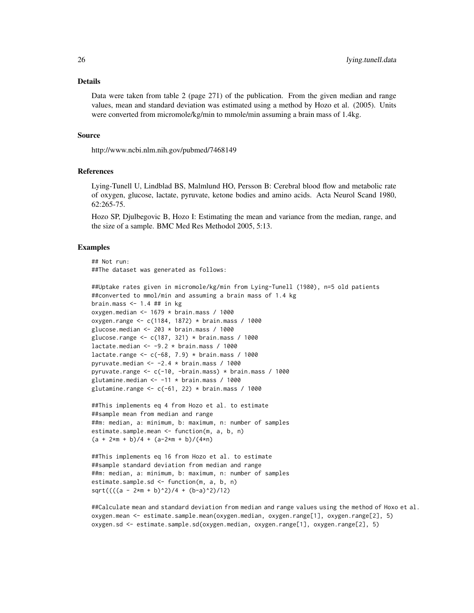#### Details

Data were taken from table 2 (page 271) of the publication. From the given median and range values, mean and standard deviation was estimated using a method by Hozo et al. (2005). Units were converted from micromole/kg/min to mmole/min assuming a brain mass of 1.4kg.

## Source

http://www.ncbi.nlm.nih.gov/pubmed/7468149

## References

Lying-Tunell U, Lindblad BS, Malmlund HO, Persson B: Cerebral blood flow and metabolic rate of oxygen, glucose, lactate, pyruvate, ketone bodies and amino acids. Acta Neurol Scand 1980, 62:265-75.

Hozo SP, Djulbegovic B, Hozo I: Estimating the mean and variance from the median, range, and the size of a sample. BMC Med Res Methodol 2005, 5:13.

#### Examples

## Not run: ##The dataset was generated as follows:

```
##Uptake rates given in micromole/kg/min from Lying-Tunell (1980), n=5 old patients
##converted to mmol/min and assuming a brain mass of 1.4 kg
brain.mass \leq -1.4 ## in kg
oxygen.median \leq -1679 \star brain.mass / 1000
oxygen.range <- c(1184, 1872) * brain.mass / 1000
glucose.median \leq -203 \times \text{brain}.mass / 1000
glucose.range <- c(187, 321) * brain.mass / 1000
lactate.median <-9.2 \times brain.mass / 1000lactate.range \leq c(-68, 7.9) \star brain.mass / 1000
pyruvate.median \le -2.4 \times \text{brain}.mass / 1000
pyruvate.range <- c(-10, -brain.mass) * brain.mass / 1000
glutamine.median \le -11 \times \text{brain}.mass / 1000
glutamine.range \leq c(-61, 22) \star brain.mass / 1000
```

```
##This implements eq 4 from Hozo et al. to estimate
##sample mean from median and range
##m: median, a: minimum, b: maximum, n: number of samples
estimate.sample.mean <- function(m, a, b, n)
(a + 2*m + b)/4 + (a-2*m + b)/(4*n)
```

```
##This implements eq 16 from Hozo et al. to estimate
##sample standard deviation from median and range
##m: median, a: minimum, b: maximum, n: number of samples
estimate.sample.sd <- function(m, a, b, n)
sqrt((((a - 2*m + b)^2)/4 + (b-a)^2)/12)
```
##Calculate mean and standard deviation from median and range values using the method of Hoxo et al. oxygen.mean <- estimate.sample.mean(oxygen.median, oxygen.range[1], oxygen.range[2], 5) oxygen.sd <- estimate.sample.sd(oxygen.median, oxygen.range[1], oxygen.range[2], 5)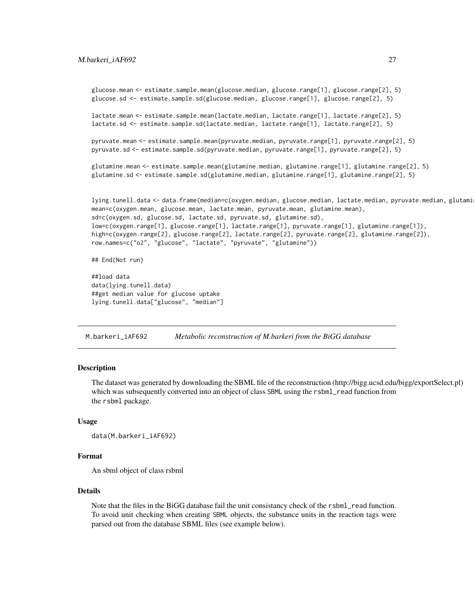```
glucose.mean <- estimate.sample.mean(glucose.median, glucose.range[1], glucose.range[2], 5)
glucose.sd <- estimate.sample.sd(glucose.median, glucose.range[1], glucose.range[2], 5)
lactate.mean <- estimate.sample.mean(lactate.median, lactate.range[1], lactate.range[2], 5)
lactate.sd <- estimate.sample.sd(lactate.median, lactate.range[1], lactate.range[2], 5)
pyruvate.mean <- estimate.sample.mean(pyruvate.median, pyruvate.range[1], pyruvate.range[2], 5)
pyruvate.sd <- estimate.sample.sd(pyruvate.median, pyruvate.range[1], pyruvate.range[2], 5)
glutamine.mean <- estimate.sample.mean(glutamine.median, glutamine.range[1], glutamine.range[2], 5)
glutamine.sd <- estimate.sample.sd(glutamine.median, glutamine.range[1], glutamine.range[2], 5)
lying.tunell.data <- data.frame(median=c(oxygen.median, glucose.median, lactate.median, pyruvate.median, glutami
mean=c(oxygen.mean, glucose.mean, lactate.mean, pyruvate.mean, glutamine.mean),
sd=c(oxygen.sd, glucose.sd, lactate.sd, pyruvate.sd, glutamine.sd),
low=c(oxygen.range[1], glucose.range[1], lactate.range[1], pyruvate.range[1], glutamine.range[1]),
high=c(oxygen.range[2], glucose.range[2], lactate.range[2], pyruvate.range[2], glutamine.range[2]),
row.names=c("o2", "glucose", "lactate", "pyruvate", "glutamine"))
## End(Not run)
##load data
data(lying.tunell.data)
```
##get median value for glucose uptake lying.tunell.data["glucose", "median"]

M.barkeri\_iAF692 *Metabolic reconstruction of M.barkeri from the BiGG database*

## **Description**

The dataset was generated by downloading the SBML file of the reconstruction (http://bigg.ucsd.edu/bigg/exportSelect.pl) which was subsequently converted into an object of class SBML using the rsbml\_read function from the rsbml package.

## Usage

```
data(M.barkeri_iAF692)
```
#### Format

An sbml object of class rsbml

#### Details

Note that the files in the BiGG database fail the unit consistancy check of the rsbml\_read function. To avoid unit checking when creating SBML objects, the substance units in the reaction tags were parsed out from the database SBML files (see example below).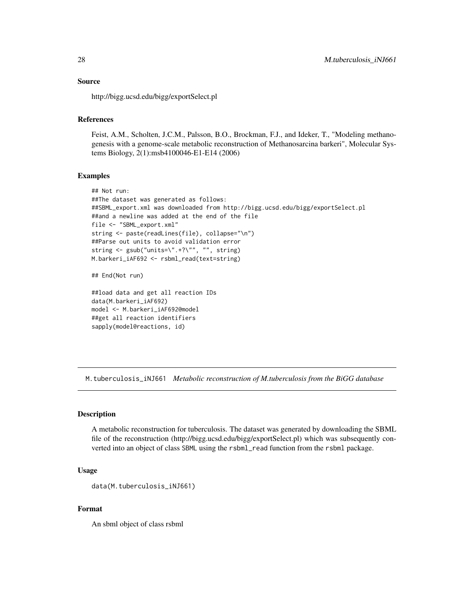## <span id="page-27-0"></span>Source

http://bigg.ucsd.edu/bigg/exportSelect.pl

## References

Feist, A.M., Scholten, J.C.M., Palsson, B.O., Brockman, F.J., and Ideker, T., "Modeling methanogenesis with a genome-scale metabolic reconstruction of Methanosarcina barkeri", Molecular Systems Biology, 2(1):msb4100046-E1-E14 (2006)

#### Examples

```
## Not run:
##The dataset was generated as follows:
##SBML_export.xml was downloaded from http://bigg.ucsd.edu/bigg/exportSelect.pl
##and a newline was added at the end of the file
file <- "SBML_export.xml"
string <- paste(readLines(file), collapse="\n")
##Parse out units to avoid validation error
string <- gsub("units=\".+?\"", "", string)
M.barkeri_iAF692 <- rsbml_read(text=string)
## End(Not run)
```
##load data and get all reaction IDs data(M.barkeri\_iAF692) model <- M.barkeri\_iAF692@model ##get all reaction identifiers sapply(model@reactions, id)

M.tuberculosis\_iNJ661 *Metabolic reconstruction of M.tuberculosis from the BiGG database*

## Description

A metabolic reconstruction for tuberculosis. The dataset was generated by downloading the SBML file of the reconstruction (http://bigg.ucsd.edu/bigg/exportSelect.pl) which was subsequently converted into an object of class SBML using the rsbml\_read function from the rsbml package.

#### Usage

```
data(M.tuberculosis_iNJ661)
```
## Format

An sbml object of class rsbml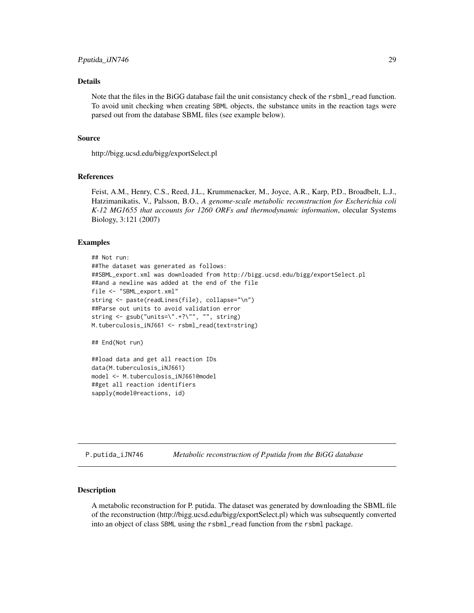#### <span id="page-28-0"></span>Details

Note that the files in the BiGG database fail the unit consistancy check of the rsbml\_read function. To avoid unit checking when creating SBML objects, the substance units in the reaction tags were parsed out from the database SBML files (see example below).

#### Source

http://bigg.ucsd.edu/bigg/exportSelect.pl

## References

Feist, A.M., Henry, C.S., Reed, J.L., Krummenacker, M., Joyce, A.R., Karp, P.D., Broadbelt, L.J., Hatzimanikatis, V., Palsson, B.O., *A genome-scale metabolic reconstruction for Escherichia coli K-12 MG1655 that accounts for 1260 ORFs and thermodynamic information*, olecular Systems Biology, 3:121 (2007)

## Examples

```
## Not run:
##The dataset was generated as follows:
##SBML_export.xml was downloaded from http://bigg.ucsd.edu/bigg/exportSelect.pl
##and a newline was added at the end of the file
file <- "SBML_export.xml"
string <- paste(readLines(file), collapse="\n")
##Parse out units to avoid validation error
string \leq gsub("units=\".+?\"", "", string)
M.tuberculosis_iNJ661 <- rsbml_read(text=string)
## End(Not run)
```

```
##load data and get all reaction IDs
data(M.tuberculosis_iNJ661)
model <- M.tuberculosis_iNJ661@model
##get all reaction identifiers
sapply(model@reactions, id)
```
P.putida\_iJN746 *Metabolic reconstruction of P.putida from the BiGG database*

## **Description**

A metabolic reconstruction for P. putida. The dataset was generated by downloading the SBML file of the reconstruction (http://bigg.ucsd.edu/bigg/exportSelect.pl) which was subsequently converted into an object of class SBML using the rsbml\_read function from the rsbml package.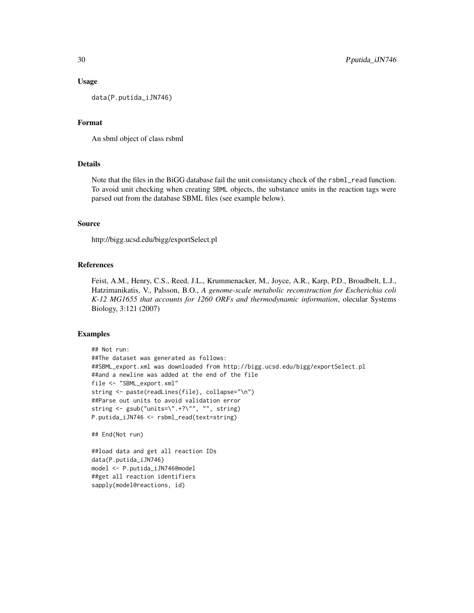## Usage

data(P.putida\_iJN746)

## Format

An sbml object of class rsbml

## Details

Note that the files in the BiGG database fail the unit consistancy check of the rsbml\_read function. To avoid unit checking when creating SBML objects, the substance units in the reaction tags were parsed out from the database SBML files (see example below).

#### Source

http://bigg.ucsd.edu/bigg/exportSelect.pl

## References

Feist, A.M., Henry, C.S., Reed, J.L., Krummenacker, M., Joyce, A.R., Karp, P.D., Broadbelt, L.J., Hatzimanikatis, V., Palsson, B.O., *A genome-scale metabolic reconstruction for Escherichia coli K-12 MG1655 that accounts for 1260 ORFs and thermodynamic information*, olecular Systems Biology, 3:121 (2007)

#### Examples

```
## Not run:
##The dataset was generated as follows:
##SBML_export.xml was downloaded from http://bigg.ucsd.edu/bigg/exportSelect.pl
##and a newline was added at the end of the file
file <- "SBML_export.xml"
string <- paste(readLines(file), collapse="\n")
##Parse out units to avoid validation error
string <- gsub("units=\".+?\"", "", string)
P.putida_iJN746 <- rsbml_read(text=string)
```
## End(Not run)

##load data and get all reaction IDs data(P.putida\_iJN746) model <- P.putida\_iJN746@model ##get all reaction identifiers sapply(model@reactions, id)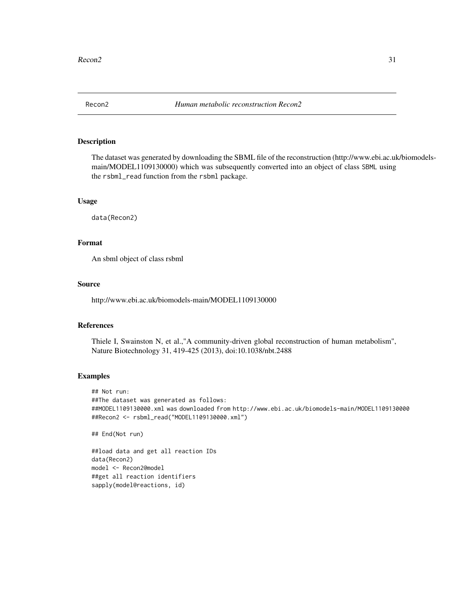<span id="page-30-0"></span>

## Description

The dataset was generated by downloading the SBML file of the reconstruction (http://www.ebi.ac.uk/biomodelsmain/MODEL1109130000) which was subsequently converted into an object of class SBML using the rsbml\_read function from the rsbml package.

## Usage

data(Recon2)

## Format

An sbml object of class rsbml

## Source

http://www.ebi.ac.uk/biomodels-main/MODEL1109130000

## References

Thiele I, Swainston N, et al.,"A community-driven global reconstruction of human metabolism", Nature Biotechnology 31, 419-425 (2013), doi:10.1038/nbt.2488

#### Examples

## Not run: ##The dataset was generated as follows: ##MODEL1109130000.xml was downloaded from http://www.ebi.ac.uk/biomodels-main/MODEL1109130000 ##Recon2 <- rsbml\_read("MODEL1109130000.xml")

## End(Not run)

```
##load data and get all reaction IDs
data(Recon2)
model <- Recon2@model
##get all reaction identifiers
sapply(model@reactions, id)
```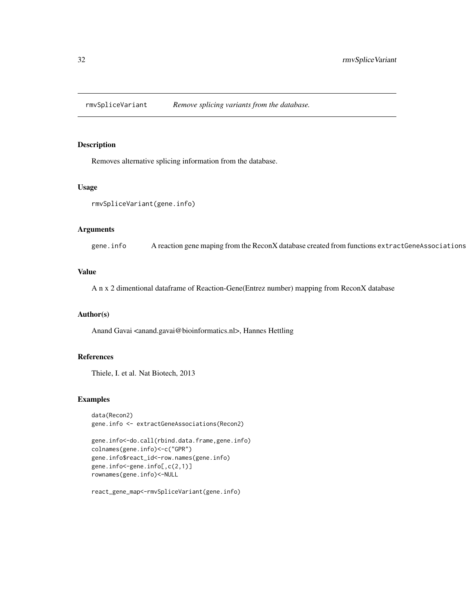<span id="page-31-0"></span>rmvSpliceVariant *Remove splicing variants from the database.*

## Description

Removes alternative splicing information from the database.

## Usage

```
rmvSpliceVariant(gene.info)
```
## Arguments

gene.info A reaction gene maping from the ReconX database created from functions extractGeneAssociations

## Value

A n x 2 dimentional dataframe of Reaction-Gene(Entrez number) mapping from ReconX database

## Author(s)

Anand Gavai <anand.gavai@bioinformatics.nl>, Hannes Hettling

## References

Thiele, I. et al. Nat Biotech, 2013

#### Examples

```
data(Recon2)
gene.info <- extractGeneAssociations(Recon2)
```

```
gene.info<-do.call(rbind.data.frame,gene.info)
colnames(gene.info)<-c("GPR")
gene.info$react_id<-row.names(gene.info)
gene.info<-gene.info[,c(2,1)]
rownames(gene.info)<-NULL
```

```
react_gene_map<-rmvSpliceVariant(gene.info)
```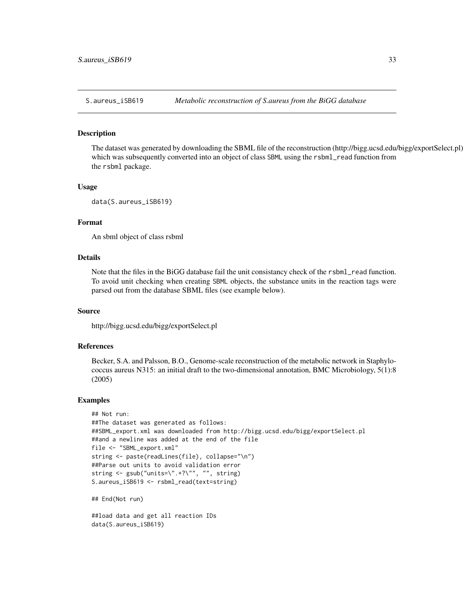<span id="page-32-0"></span>

#### Description

The dataset was generated by downloading the SBML file of the reconstruction (http://bigg.ucsd.edu/bigg/exportSelect.pl) which was subsequently converted into an object of class SBML using the rsbml\_read function from the rsbml package.

#### Usage

```
data(S.aureus_iSB619)
```
## Format

An sbml object of class rsbml

#### Details

Note that the files in the BiGG database fail the unit consistancy check of the rsbml\_read function. To avoid unit checking when creating SBML objects, the substance units in the reaction tags were parsed out from the database SBML files (see example below).

## Source

http://bigg.ucsd.edu/bigg/exportSelect.pl

## References

Becker, S.A. and Palsson, B.O., Genome-scale reconstruction of the metabolic network in Staphylococcus aureus N315: an initial draft to the two-dimensional annotation, BMC Microbiology, 5(1):8 (2005)

#### Examples

```
## Not run:
##The dataset was generated as follows:
##SBML_export.xml was downloaded from http://bigg.ucsd.edu/bigg/exportSelect.pl
##and a newline was added at the end of the file
file <- "SBML_export.xml"
string <- paste(readLines(file), collapse="\n")
##Parse out units to avoid validation error
string <- gsub("units=\".+?\"", "", string)
S.aureus_iSB619 <- rsbml_read(text=string)
## End(Not run)
```
##load data and get all reaction IDs data(S.aureus\_iSB619)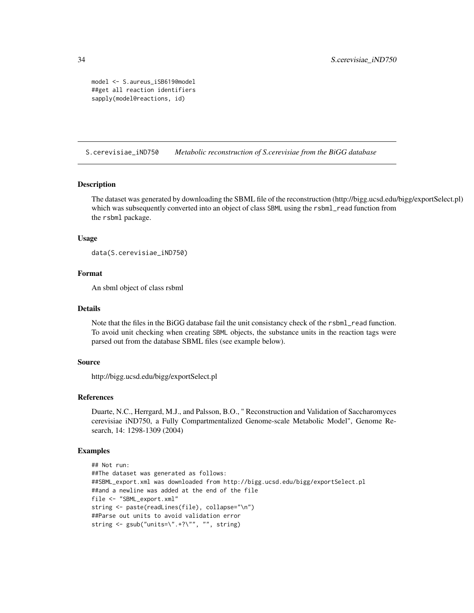```
model <- S.aureus_iSB619@model
##get all reaction identifiers
sapply(model@reactions, id)
```
S.cerevisiae\_iND750 *Metabolic reconstruction of S.cerevisiae from the BiGG database*

#### **Description**

The dataset was generated by downloading the SBML file of the reconstruction (http://bigg.ucsd.edu/bigg/exportSelect.pl) which was subsequently converted into an object of class SBML using the rsbml\_read function from the rsbml package.

## Usage

```
data(S.cerevisiae_iND750)
```
## Format

An sbml object of class rsbml

#### Details

Note that the files in the BiGG database fail the unit consistancy check of the rsbml\_read function. To avoid unit checking when creating SBML objects, the substance units in the reaction tags were parsed out from the database SBML files (see example below).

## Source

http://bigg.ucsd.edu/bigg/exportSelect.pl

## References

Duarte, N.C., Herrgard, M.J., and Palsson, B.O., " Reconstruction and Validation of Saccharomyces cerevisiae iND750, a Fully Compartmentalized Genome-scale Metabolic Model", Genome Research, 14: 1298-1309 (2004)

## Examples

```
## Not run:
##The dataset was generated as follows:
##SBML_export.xml was downloaded from http://bigg.ucsd.edu/bigg/exportSelect.pl
##and a newline was added at the end of the file
file <- "SBML_export.xml"
string <- paste(readLines(file), collapse="\n")
##Parse out units to avoid validation error
string <- gsub("units=\".+?\"", "", string)
```
<span id="page-33-0"></span>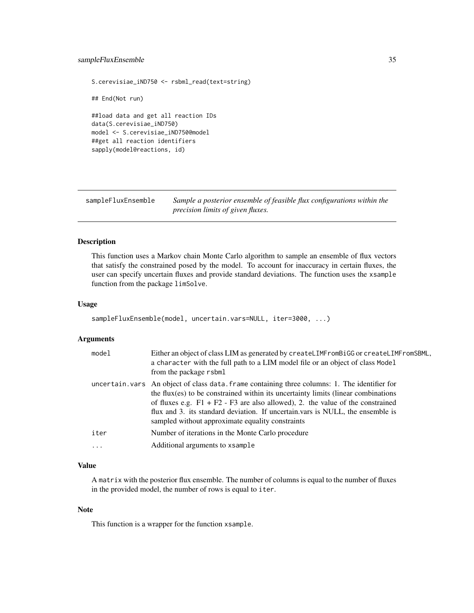## <span id="page-34-0"></span>sampleFluxEnsemble 35

```
S.cerevisiae_iND750 <- rsbml_read(text=string)
## End(Not run)
##load data and get all reaction IDs
data(S.cerevisiae_iND750)
model <- S.cerevisiae_iND750@model
##get all reaction identifiers
sapply(model@reactions, id)
```
sampleFluxEnsemble *Sample a posterior ensemble of feasible flux configurations within the precision limits of given fluxes.*

## Description

This function uses a Markov chain Monte Carlo algorithm to sample an ensemble of flux vectors that satisfy the constrained posed by the model. To account for inaccuracy in certain fluxes, the user can specify uncertain fluxes and provide standard deviations. The function uses the xsample function from the package limSolve.

#### Usage

```
sampleFluxEnsemble(model, uncertain.vars=NULL, iter=3000, ...)
```
## Arguments

| model | Either an object of class LIM as generated by createLIMFromBiGG or createLIMFromSBML,<br>a character with the full path to a LIM model file or an object of class Model<br>from the package rsbml                                                                                                                                                                                                                |
|-------|------------------------------------------------------------------------------------------------------------------------------------------------------------------------------------------------------------------------------------------------------------------------------------------------------------------------------------------------------------------------------------------------------------------|
|       | uncertain. vars An object of class data. frame containing three columns: 1. The identifier for<br>the flux $(es)$ to be constrained within its uncertainty limits (linear combinations<br>of fluxes e.g. $F1 + F2 - F3$ are also allowed), 2. the value of the constrained<br>flux and 3. its standard deviation. If uncertain vars is NULL, the ensemble is<br>sampled without approximate equality constraints |
| iter  | Number of iterations in the Monte Carlo procedure                                                                                                                                                                                                                                                                                                                                                                |
| .     | Additional arguments to xsample                                                                                                                                                                                                                                                                                                                                                                                  |

## Value

A matrix with the posterior flux ensemble. The number of columns is equal to the number of fluxes in the provided model, the number of rows is equal to iter.

#### Note

This function is a wrapper for the function xsample.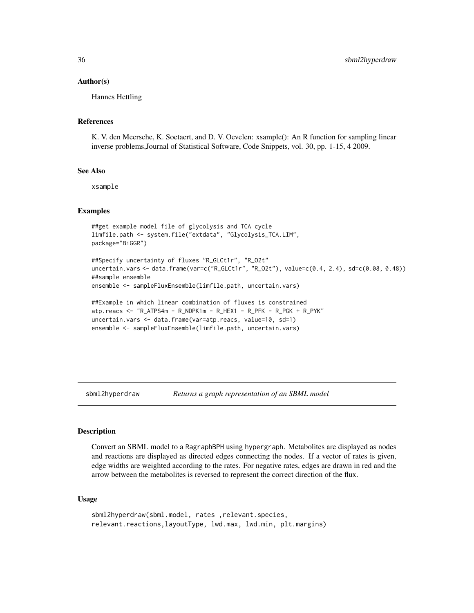## Author(s)

Hannes Hettling

## References

K. V. den Meersche, K. Soetaert, and D. V. Oevelen: xsample(): An R function for sampling linear inverse problems,Journal of Statistical Software, Code Snippets, vol. 30, pp. 1-15, 4 2009.

## See Also

xsample

## Examples

```
##get example model file of glycolysis and TCA cycle
limfile.path <- system.file("extdata", "Glycolysis_TCA.LIM",
package="BiGGR")
```

```
##Specify uncertainty of fluxes "R_GLCt1r", "R_O2t"
uncertain.vars <- data.frame(var=c("R_GLCt1r", "R_O2t"), value=c(0.4, 2.4), sd=c(0.08, 0.48))
##sample ensemble
ensemble <- sampleFluxEnsemble(limfile.path, uncertain.vars)
```

```
##Example in which linear combination of fluxes is constrained
atp.reacs <- "R_ATPS4m - R_NDPK1m - R_HEX1 - R_PFK - R_PGK + R_PYK"
uncertain.vars <- data.frame(var=atp.reacs, value=10, sd=1)
ensemble <- sampleFluxEnsemble(limfile.path, uncertain.vars)
```
sbml2hyperdraw *Returns a graph representation of an SBML model*

#### **Description**

Convert an SBML model to a RagraphBPH using hypergraph. Metabolites are displayed as nodes and reactions are displayed as directed edges connecting the nodes. If a vector of rates is given, edge widths are weighted according to the rates. For negative rates, edges are drawn in red and the arrow between the metabolites is reversed to represent the correct direction of the flux.

## Usage

```
sbml2hyperdraw(sbml.model, rates ,relevant.species,
relevant.reactions,layoutType, lwd.max, lwd.min, plt.margins)
```
<span id="page-35-0"></span>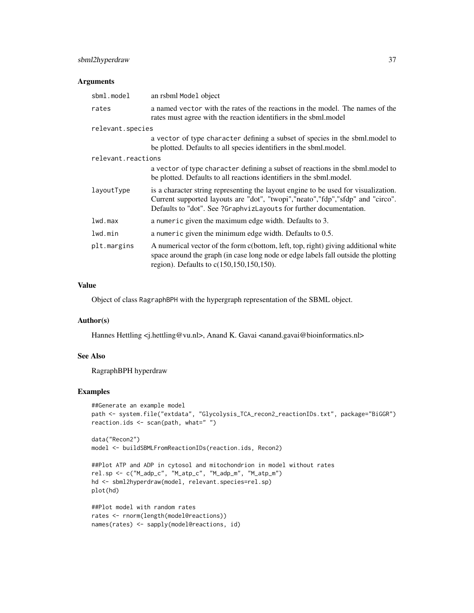## sbml2hyperdraw 37

## Arguments

| sbml.model         | an rsbml Model object                                                                                                                                                                                                                         |
|--------------------|-----------------------------------------------------------------------------------------------------------------------------------------------------------------------------------------------------------------------------------------------|
| rates              | a named vector with the rates of the reactions in the model. The names of the<br>rates must agree with the reaction identifiers in the sbml.model                                                                                             |
| relevant.species   |                                                                                                                                                                                                                                               |
|                    | a vector of type character defining a subset of species in the sbml. model to<br>be plotted. Defaults to all species identifiers in the sbml.model.                                                                                           |
| relevant.reactions |                                                                                                                                                                                                                                               |
|                    | a vector of type character defining a subset of reactions in the sbml.model to<br>be plotted. Defaults to all reactions identifiers in the sbml.model.                                                                                        |
| layoutType         | is a character string representing the layout engine to be used for visualization.<br>Current supported layouts are "dot", "twopi", "neato", "fdp", "sfdp" and "circo".<br>Defaults to "dot". See ?GraphvizLayouts for further documentation. |
| 1wd.max            | a numeric given the maximum edge width. Defaults to 3.                                                                                                                                                                                        |
| lwd.min            | a numeric given the minimum edge width. Defaults to 0.5.                                                                                                                                                                                      |
| plt.margins        | A numerical vector of the form c(bottom, left, top, right) giving additional white<br>space around the graph (in case long node or edge labels fall outside the plotting<br>region). Defaults to $c(150, 150, 150, 150)$ .                    |

## Value

Object of class RagraphBPH with the hypergraph representation of the SBML object.

#### Author(s)

Hannes Hettling <j.hettling@vu.nl>, Anand K. Gavai <anand.gavai@bioinformatics.nl>

## See Also

RagraphBPH hyperdraw

## Examples

```
##Generate an example model
path <- system.file("extdata", "Glycolysis_TCA_recon2_reactionIDs.txt", package="BiGGR")
reaction.ids <- scan(path, what=" ")
```

```
data("Recon2")
model <- buildSBMLFromReactionIDs(reaction.ids, Recon2)
```

```
##Plot ATP and ADP in cytosol and mitochondrion in model without rates
rel.sp <- c("M_adp_c", "M_atp_c", "M_adp_m", "M_atp_m")
hd <- sbml2hyperdraw(model, relevant.species=rel.sp)
plot(hd)
```

```
##Plot model with random rates
rates <- rnorm(length(model@reactions))
names(rates) <- sapply(model@reactions, id)
```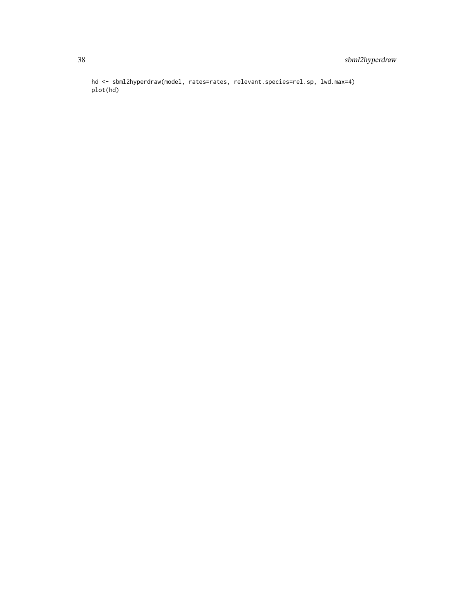hd <- sbml2hyperdraw(model, rates=rates, relevant.species=rel.sp, lwd.max=4) plot(hd)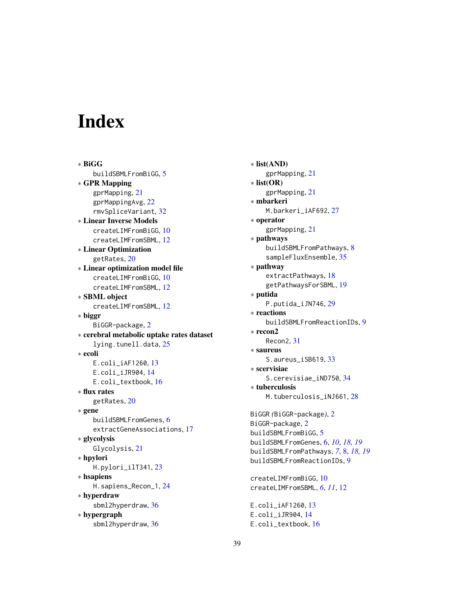# <span id="page-38-0"></span>**Index**

∗ BiGG buildSBMLFromBiGG, [5](#page-4-0) ∗ GPR Mapping gprMapping, [21](#page-20-0) gprMappingAvg, [22](#page-21-0) rmvSpliceVariant, [32](#page-31-0) ∗ Linear Inverse Models createLIMFromBiGG, [10](#page-9-0) createLIMFromSBML, [12](#page-11-0) ∗ Linear Optimization getRates, [20](#page-19-0) ∗ Linear optimization model file createLIMFromBiGG, [10](#page-9-0) createLIMFromSBML, [12](#page-11-0) ∗ SBML object createLIMFromSBML, [12](#page-11-0) ∗ biggr BiGGR-package, [2](#page-1-0) ∗ cerebral metabolic uptake rates dataset lying.tunell.data, [25](#page-24-0) ∗ ecoli E.coli\_iAF1260, [13](#page-12-0) E.coli\_iJR904, [14](#page-13-0) E.coli\_textbook, [16](#page-15-0) ∗ flux rates getRates, [20](#page-19-0) ∗ gene buildSBMLFromGenes, [6](#page-5-0) extractGeneAssociations, [17](#page-16-0) ∗ glycolysis Glycolysis, [21](#page-20-0) ∗ hpylori H.pylori\_ilT341, [23](#page-22-0) ∗ hsapiens H.sapiens\_Recon\_1, [24](#page-23-0) ∗ hyperdraw sbml2hyperdraw, [36](#page-35-0) ∗ hypergraph sbml2hyperdraw, [36](#page-35-0)

∗ list(AND) gprMapping, [21](#page-20-0) ∗ list(OR) gprMapping, [21](#page-20-0) ∗ mbarkeri M.barkeri\_iAF692, [27](#page-26-0) ∗ operator gprMapping, [21](#page-20-0) ∗ pathways buildSBMLFromPathways, [8](#page-7-0) sampleFluxEnsemble, [35](#page-34-0) ∗ pathway extractPathways, [18](#page-17-0) getPathwaysForSBML, [19](#page-18-0) ∗ putida P.putida\_iJN746, [29](#page-28-0) ∗ reactions buildSBMLFromReactionIDs, [9](#page-8-0) ∗ recon2 Recon2, [31](#page-30-0) ∗ saureus S.aureus\_iSB619, [33](#page-32-0) ∗ scervisiae S.cerevisiae\_iND750, [34](#page-33-0) ∗ tuberculosis M.tuberculosis\_iNJ661, [28](#page-27-0) BiGGR *(*BiGGR-package*)*, [2](#page-1-0) BiGGR-package, [2](#page-1-0) buildSBMLFromBiGG, [5](#page-4-0) buildSBMLFromGenes, [6,](#page-5-0) *[10](#page-9-0)*, *[18,](#page-17-0) [19](#page-18-0)* buildSBMLFromPathways, *[7](#page-6-0)*, [8,](#page-7-0) *[18,](#page-17-0) [19](#page-18-0)* buildSBMLFromReactionIDs, [9](#page-8-0) createLIMFromBiGG, [10](#page-9-0) createLIMFromSBML, *[6](#page-5-0)*, *[11](#page-10-0)*, [12](#page-11-0) E.coli\_iAF1260, [13](#page-12-0)

E.coli\_iJR904, [14](#page-13-0) E.coli\_textbook, [16](#page-15-0)